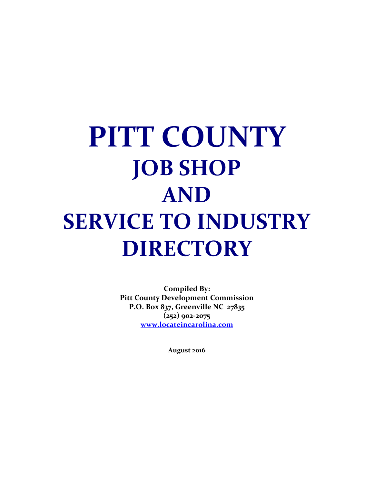**Compiled By: Pitt County Development Commission P.O. Box 837, Greenville NC 27835 (252) 902-2075 [www.locateincarolina.com](http://www.locateincarolina.com/)**

**August 2016**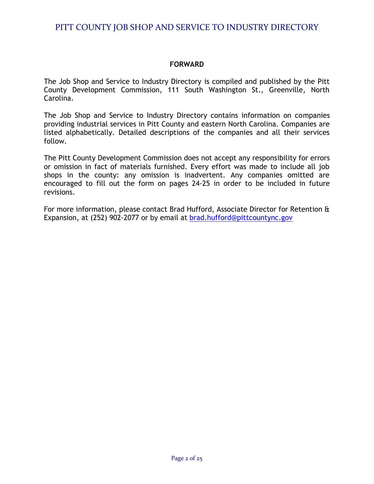## **FORWARD**

The Job Shop and Service to Industry Directory is compiled and published by the Pitt County Development Commission, 111 South Washington St., Greenville, North Carolina.

The Job Shop and Service to Industry Directory contains information on companies providing industrial services in Pitt County and eastern North Carolina. Companies are listed alphabetically. Detailed descriptions of the companies and all their services follow.

The Pitt County Development Commission does not accept any responsibility for errors or omission in fact of materials furnished. Every effort was made to include all job shops in the county: any omission is inadvertent. Any companies omitted are encouraged to fill out the form on pages 24-25 in order to be included in future revisions.

For more information, please contact Brad Hufford, Associate Director for Retention & Expansion, at (252) 902-2077 or by email at [brad.hufford@pittcountync.gov](mailto:brad.hufford@pittcountync.gov)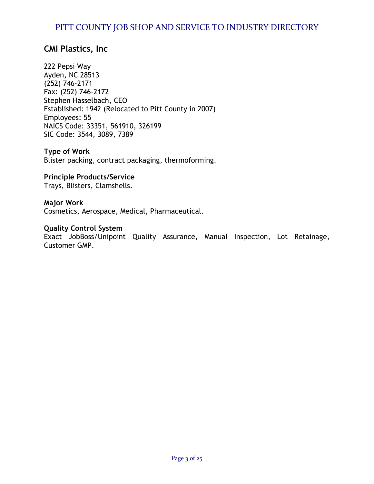## **CMI Plastics, Inc**

222 Pepsi Way Ayden, NC 28513 (252) 746-2171 Fax: (252) 746-2172 Stephen Hasselbach, CEO Established: 1942 (Relocated to Pitt County in 2007) Employees: 55 NAICS Code: 33351, 561910, 326199 SIC Code: 3544, 3089, 7389

**Type of Work** Blister packing, contract packaging, thermoforming.

**Principle Products/Service** Trays, Blisters, Clamshells.

## **Major Work**

Cosmetics, Aerospace, Medical, Pharmaceutical.

#### **Quality Control System**

Exact JobBoss/Unipoint Quality Assurance, Manual Inspection, Lot Retainage, Customer GMP.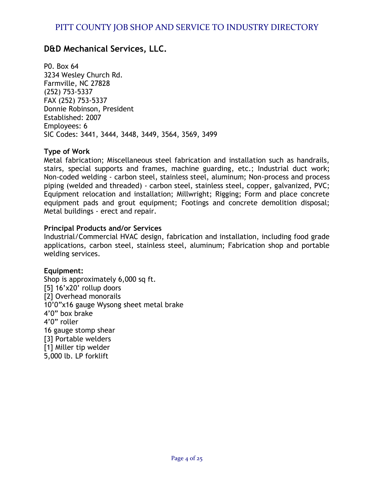## **D&D Mechanical Services, LLC.**

P0. Box 64 3234 Wesley Church Rd. Farmville, NC 27828 (252) 753-5337 FAX (252) 753-5337 Donnie Robinson, President Established: 2007 Employees: 6 SIC Codes: 3441, 3444, 3448, 3449, 3564, 3569, 3499

## **Type of Work**

Metal fabrication; Miscellaneous steel fabrication and installation such as handrails, stairs, special supports and frames, machine guarding, etc.; Industrial duct work; Non-coded welding - carbon steel, stainless steel, aluminum; Non-process and process piping (welded and threaded) - carbon steel, stainless steel, copper, galvanized, PVC; Equipment relocation and installation; Millwright; Rigging; Form and place concrete equipment pads and grout equipment; Footings and concrete demolition disposal; Metal buildings - erect and repair.

## **Principal Products and/or Services**

Industrial/Commercial HVAC design, fabrication and installation, including food grade applications, carbon steel, stainless steel, aluminum; Fabrication shop and portable welding services.

## **Equipment:**

Shop is approximately 6,000 sq ft. [5] 16'x20' rollup doors [2] Overhead monorails 10'0"x16 gauge Wysong sheet metal brake 4'0" box brake 4'0" roller 16 gauge stomp shear [3] Portable welders [1] Miller tip welder 5,000 lb. LP forklift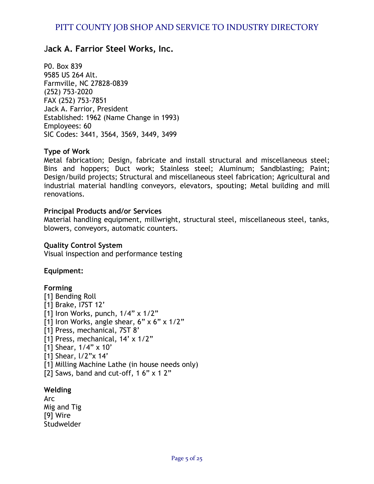## J**ack A. Farrior Steel Works, Inc.**

P0. Box 839 9585 US 264 Alt. Farmville, NC 27828-0839 (252) 753-2020 FAX (252) 753-7851 Jack A. Farrior, President Established: 1962 (Name Change in 1993) Employees: 60 SIC Codes: 3441, 3564, 3569, 3449, 3499

## **Type of Work**

Metal fabrication; Design, fabricate and install structural and miscellaneous steel; Bins and hoppers; Duct work; Stainless steel; Aluminum; Sandblasting; Paint; Design/build projects; Structural and miscellaneous steel fabrication; Agricultural and industrial material handling conveyors, elevators, spouting; Metal building and mill renovations.

## **Principal Products and/or Services**

Material handling equipment, millwright, structural steel, miscellaneous steel, tanks, blowers, conveyors, automatic counters.

#### **Quality Control System**

Visual inspection and performance testing

## **Equipment:**

#### **Forming**

[1] Bending Roll [1] Brake, I7ST 12'  $[1]$  Iron Works, punch,  $1/4$ " x  $1/2$ " [1] Iron Works, angle shear,  $6" \times 6" \times 1/2"$ [1] Press, mechanical, 7ST 8' [1] Press, mechanical, 14' x 1/2"  $[1]$  Shear,  $1/4$ " x 10' [1] Shear,  $1/2$ "x 14' [1] Milling Machine Lathe (in house needs only) [2] Saws, band and cut-off,  $16" \times 12"$ 

#### **Welding**

Arc Mig and Tig [9] Wire **Studwelder**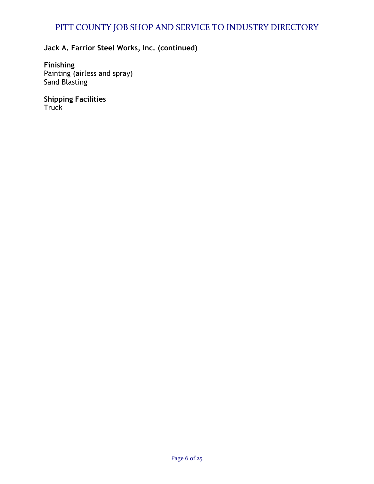## **Jack A. Farrior Steel Works, Inc. (continued)**

**Finishing** Painting (airless and spray) Sand Blasting

**Shipping Facilities** Truck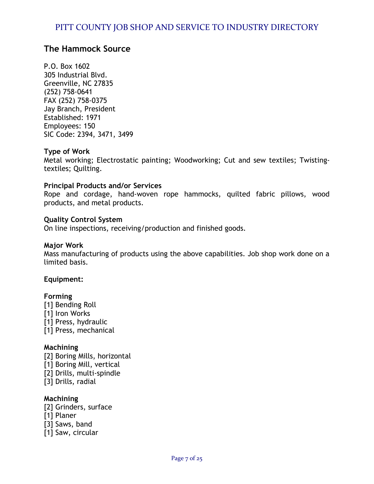## **The Hammock Source**

P.O. Box 1602 305 Industrial Blvd. Greenville, NC 27835 (252) 758-0641 FAX (252) 758-0375 Jay Branch, President Established: 1971 Employees: 150 SIC Code: 2394, 3471, 3499

## **Type of Work**

Metal working; Electrostatic painting; Woodworking; Cut and sew textiles; Twistingtextiles; Quilting.

## **Principal Products and/or Services**

Rope and cordage, hand-woven rope hammocks, quilted fabric pillows, wood products, and metal products.

## **Quality Control System**

On line inspections, receiving/production and finished goods.

#### **Major Work**

Mass manufacturing of products using the above capabilities. Job shop work done on a limited basis.

## **Equipment:**

#### **Forming**

[1] Bending Roll [1] Iron Works [1] Press, hydraulic [1] Press, mechanical

## **Machining**

[2] Boring Mills, horizontal [1] Boring Mill, vertical [2] Drills, multi-spindle [3] Drills, radial

## **Machining**

- [2] Grinders, surface
- [1] Planer
- [3] Saws, band
- [1] Saw, circular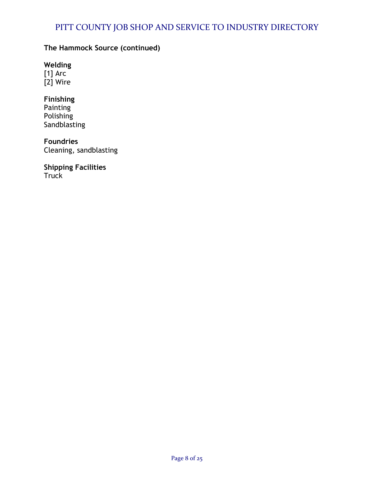## **The Hammock Source (continued)**

**Welding** [1] Arc [2] Wire

**Finishing Painting** Polishing **Sandblasting** 

**Foundries** Cleaning, sandblasting

**Shipping Facilities Truck**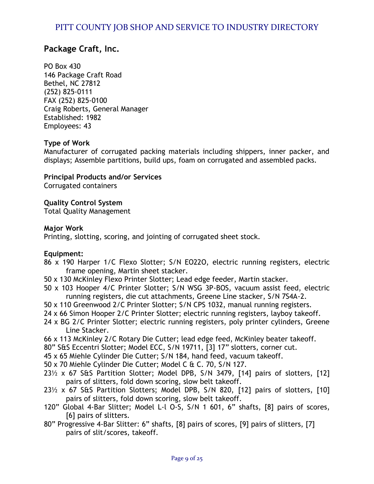## **Package Craft, Inc.**

PO Box 430 146 Package Craft Road Bethel, NC 27812 (252) 825-0111 FAX (252) 825-0100 Craig Roberts, General Manager Established: 1982 Employees: 43

## **Type of Work**

Manufacturer of corrugated packing materials including shippers, inner packer, and displays; Assemble partitions, build ups, foam on corrugated and assembled packs.

**Principal Products and/or Services**  Corrugated containers

**Quality Control System**

Total Quality Management

## **Major Work**

Printing, slotting, scoring, and jointing of corrugated sheet stock.

## **Equipment:**

- 86 x 190 Harper 1/C Flexo Slotter; S/N EO22O, electric running registers, electric frame opening, Martin sheet stacker.
- 50 x 130 McKinley Flexo Printer Slotter; Lead edge feeder, Martin stacker.
- 50 x 103 Hooper 4/C Printer Slotter; S/N WSG 3P-BOS, vacuum assist feed, electric running registers, die cut attachments, Greene Line stacker, S/N 7S4A-2.
- 50 x 110 Greenwood 2/C Printer Slotter; S/N CPS 1032, manual running registers.
- 24 x 66 Simon Hooper 2/C Printer Slotter; electric running registers, layboy takeoff.
- 24 x BG 2/C Printer Slotter; electric running registers, poly printer cylinders, Greene Line Stacker.
- 66 x 113 McKinley 2/C Rotary Die Cutter; lead edge feed, McKinley beater takeoff.
- 80" S&S Eccentri Slotter; Model ECC, S/N 19711, [3] 17" slotters, corner cut.
- 45 x 65 MiehIe Cylinder Die Cutter; S/N 184, hand feed, vacuum takeoff.
- 50 x 70 MiehIe Cylinder Die Cutter; Model C & C. 70, S/N 127.
- 23½ x 67 S&S Partition Slotter; Model DPB, S/N 3479, [14] pairs of slotters, [12] pairs of slitters, fold down scoring, slow belt takeoff.
- 23½ x 67 S&S Partition Slotters; Model DPB, S/N 820, [12] pairs of slotters, [10] pairs of slitters, fold down scoring, slow belt takeoff.
- 120" Global 4-Bar Slitter; Model L-l O-S, S/N 1 601, 6" shafts, [8] pairs of scores, [6] pairs of slitters.
- 80" Progressive 4-Bar Slitter: 6" shafts, [8] pairs of scores, [9] pairs of slitters, [7] pairs of slit/scores, takeoff.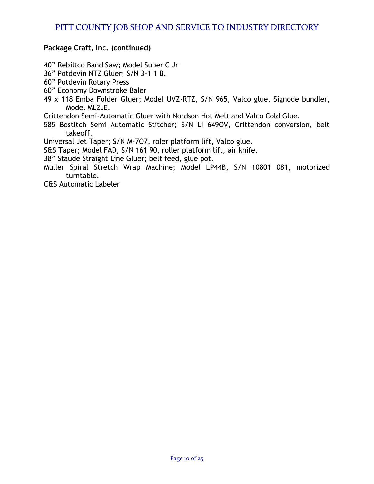## **Package Craft, Inc. (continued)**

40" Rebiltco Band Saw; Model Super C Jr

- 36" Potdevin NTZ Gluer; S/N 3-1 1 B.
- 60" Potdevin Rotary Press
- 60" Economy Downstroke Baler
- 49 x 118 Emba Folder Gluer; Model UVZ-RTZ, S/N 965, Valco glue, Signode bundler, Model ML2JE.
- Crittendon Semi-Automatic Gluer with Nordson Hot Melt and Valco Cold Glue.
- 585 Bostitch Semi Automatic Stitcher; S/N LI 649OV, Crittendon conversion, belt takeoff.

Universal Jet Taper; S/N M-7O7, roler platform lift, Valco glue.

- S&S Taper; Model FAD, S/N 161 90, roller platform lift, air knife.
- 38" Staude Straight Line Gluer; belt feed, glue pot.
- Muller Spiral Stretch Wrap Machine; Model LP44B, S/N 10801 081, motorized turntable.

C&S Automatic Labeler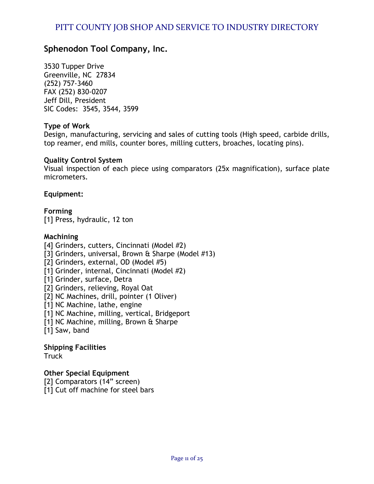## **Sphenodon Tool Company, Inc.**

3530 Tupper Drive Greenville, NC 27834 (252) 757-3460 FAX (252) 830-0207 Jeff Dill, President SIC Codes: 3545, 3544, 3599

## **Type of Work**

Design, manufacturing, servicing and sales of cutting tools (High speed, carbide drills, top reamer, end mills, counter bores, milling cutters, broaches, locating pins).

## **Quality Control System**

Visual inspection of each piece using comparators (25x magnification), surface plate micrometers.

**Equipment:**

**Forming** [1] Press, hydraulic, 12 ton

## **Machining**

[4] Grinders, cutters, Cincinnati (Model #2) [3] Grinders, universal, Brown & Sharpe (Model #13) [2] Grinders, external, OD (Model #5) [1] Grinder, internal, Cincinnati (Model #2) [1] Grinder, surface, Detra [2] Grinders, relieving, Royal Oat [2] NC Machines, drill, pointer (1 Oliver) [1] NC Machine, lathe, engine [1] NC Machine, milling, vertical, Bridgeport [1] NC Machine, milling, Brown & Sharpe [1] Saw, band

**Shipping Facilities Truck** 

**Other Special Equipment**

[2] Comparators (14" screen)

[1] Cut off machine for steel bars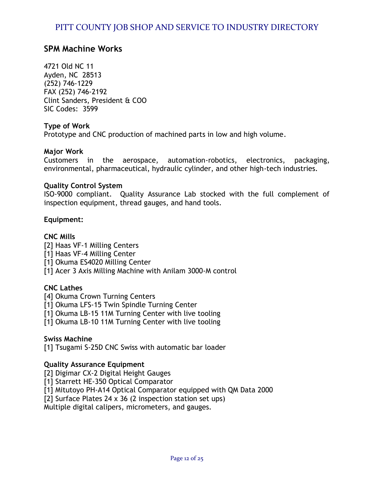## **SPM Machine Works**

4721 Old NC 11 Ayden, NC 28513 (252) 746-1229 FAX (252) 746-2192 Clint Sanders, President & COO SIC Codes: 3599

## **Type of Work**

Prototype and CNC production of machined parts in low and high volume.

## **Major Work**

Customers in the aerospace, automation-robotics, electronics, packaging, environmental, pharmaceutical, hydraulic cylinder, and other high-tech industries.

#### **Quality Control System**

ISO-9000 compliant. Quality Assurance Lab stocked with the full complement of inspection equipment, thread gauges, and hand tools.

#### **Equipment:**

## **CNC Mills**

[2] Haas VF-1 Milling Centers [1] Haas VF-4 Milling Center

[1] Okuma ES4020 Milling Center

[1] Acer 3 Axis Milling Machine with Anilam 3000-M control

## **CNC Lathes**

[4] Okuma Crown Turning Centers

[1] Okuma LFS-15 Twin Spindle Turning Center

[1] Okuma LB-15 11M Turning Center with live tooling

[1] Okuma LB-10 11M Turning Center with live tooling

#### **Swiss Machine**

[1] Tsugami S-25D CNC Swiss with automatic bar loader

## **Quality Assurance Equipment**

[2] Digimar CX-2 Digital Height Gauges

[1] Starrett HE-350 Optical Comparator

[1] Mitutoyo PH-A14 Optical Comparator equipped with QM Data 2000

[2] Surface Plates 24 x 36 (2 inspection station set ups)

Multiple digital calipers, micrometers, and gauges.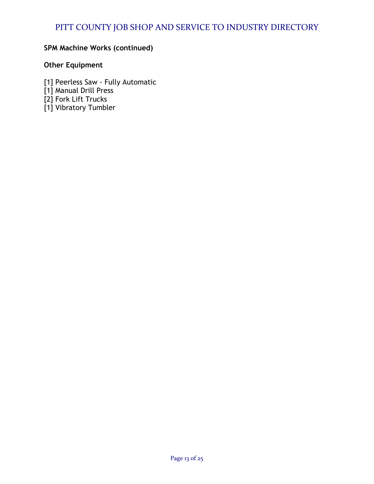## **SPM Machine Works (continued)**

## **Other Equipment**

- [1] Peerless Saw Fully Automatic
- [1] Manual Drill Press
- [2] Fork Lift Trucks
- [1] Vibratory Tumbler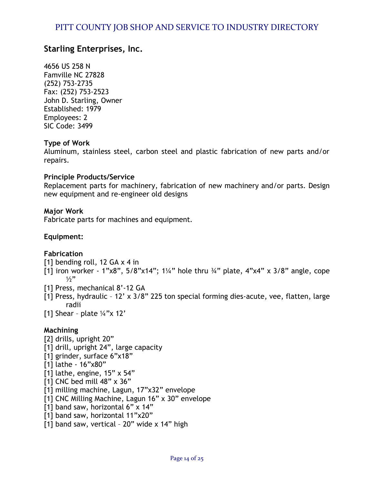## **Starling Enterprises, Inc.**

4656 US 258 N Famville NC 27828 (252) 753-2735 Fax: (252) 753-2523 John D. Starling, Owner Established: 1979 Employees: 2 SIC Code: 3499

## **Type of Work**

Aluminum, stainless steel, carbon steel and plastic fabrication of new parts and/or repairs.

## **Principle Products/Service**

Replacement parts for machinery, fabrication of new machinery and/or parts. Design new equipment and re-engineer old designs

## **Major Work**

Fabricate parts for machines and equipment.

## **Equipment:**

## **Fabrication**

- [1] bending roll, 12 GA x 4 in
- [1] iron worker 1"x8",  $5/8$ "x14";  $1\frac{1}{4}$ " hole thru  $\frac{3}{4}$ " plate,  $4$ "x4" x  $3/8$ " angle, cope  $1/2"$
- [1] Press, mechanical 8'-12 GA
- [1] Press, hydraulic 12' x 3/8" 225 ton special forming dies-acute, vee, flatten, large radii
- [1] Shear plate  $\frac{1}{4}$ "x 12'

## **Machining**

[2] drills, upright 20" [1] drill, upright 24", large capacity [1] grinder, surface 6"x18" [1] lathe - 16"x80"  $\overline{11}$  lathe, engine, 15" x 54" [1] CNC bed mill 48" x 36" [1] milling machine, Lagun, 17"x32" envelope [1] CNC Milling Machine, Lagun 16" x 30" envelope [1] band saw, horizontal 6" x 14" [1] band saw, horizontal 11"x20" [1] band saw, vertical - 20" wide x 14" high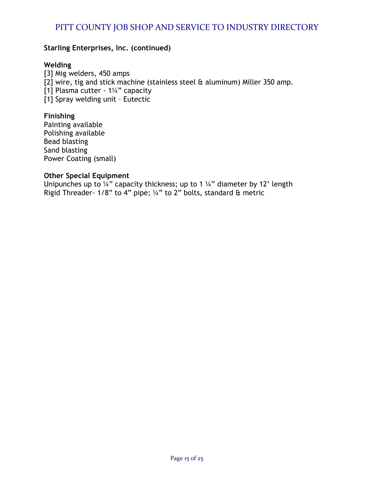## **Starling Enterprises, Inc. (continued)**

## **Welding**

[3] Mig welders, 450 amps [2] wire, tig and stick machine (stainless steel & aluminum) Miller 350 amp. [1] Plasma cutter - 1¼" capacity [1] Spray welding unit – Eutectic

## **Finishing**

Painting available Polishing available Bead blasting Sand blasting Power Coating (small)

## **Other Special Equipment**

Unipunches up to  $\frac{1}{4}$ " capacity thickness; up to 1  $\frac{1}{4}$ " diameter by 12' length Rigid Threader- 1/8" to 4" pipe; ¼" to 2" bolts, standard & metric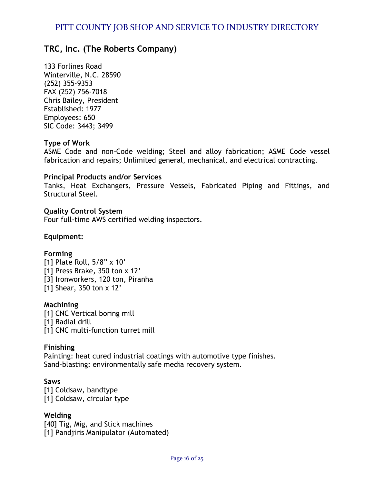## **TRC, Inc. (The Roberts Company)**

133 Forlines Road Winterville, N.C. 28590 (252) 355-9353 FAX (252) 756-7018 Chris Bailey, President Established: 1977 Employees: 650 SIC Code: 3443; 3499

## **Type of Work**

ASME Code and non-Code welding; Steel and alloy fabrication; ASME Code vessel fabrication and repairs; Unlimited general, mechanical, and electrical contracting.

#### **Principal Products and/or Services**

Tanks, Heat Exchangers, Pressure Vessels, Fabricated Piping and Fittings, and Structural Steel.

**Quality Control System** Four full-time AWS certified welding inspectors.

## **Equipment:**

#### **Forming**

[1] Plate Roll, 5/8" x 10' [1] Press Brake, 350 ton x 12' [3] Ironworkers, 120 ton, Piranha [1] Shear, 350 ton x 12'

#### **Machining**

[1] CNC Vertical boring mill [1] Radial drill [1] CNC multi-function turret mill

#### **Finishing**

Painting: heat cured industrial coatings with automotive type finishes. Sand-blasting: environmentally safe media recovery system.

#### **Saws**

[1] Coldsaw, bandtype [1] Coldsaw, circular type

#### **Welding**

[40] Tig, Mig, and Stick machines [1] Pandjiris Manipulator (Automated)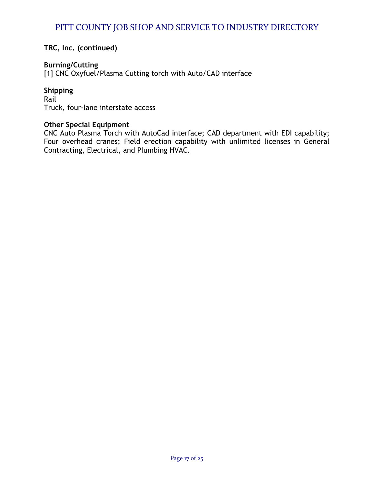**TRC, Inc. (continued)**

## **Burning/Cutting**

[1] CNC Oxyfuel/Plasma Cutting torch with Auto/CAD interface

## **Shipping**

Rail Truck, four-lane interstate access

## **Other Special Equipment**

CNC Auto Plasma Torch with AutoCad interface; CAD department with EDI capability; Four overhead cranes; Field erection capability with unlimited licenses in General Contracting, Electrical, and Plumbing HVAC.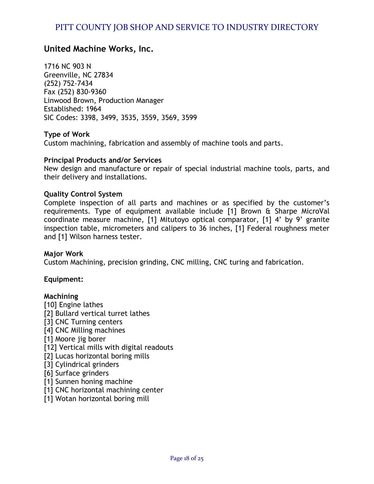## **United Machine Works, Inc.**

1716 NC 903 N Greenville, NC 27834 (252) 752-7434 Fax (252) 830-9360 Linwood Brown, Production Manager Established: 1964 SIC Codes: 3398, 3499, 3535, 3559, 3569, 3599

#### **Type of Work**

Custom machining, fabrication and assembly of machine tools and parts.

#### **Principal Products and/or Services**

New design and manufacture or repair of special industrial machine tools, parts, and their delivery and installations.

#### **Quality Control System**

Complete inspection of all parts and machines or as specified by the customer's requirements. Type of equipment available include [1] Brown & Sharpe MicroVal coordinate measure machine, [1] Mitutoyo optical comparator, [1] 4' by 9' granite inspection table, micrometers and calipers to 36 inches, [1] Federal roughness meter and [1] Wilson harness tester.

#### **Major Work**

Custom Machining, precision grinding, CNC milling, CNC turing and fabrication.

#### **Equipment:**

#### **Machining**

[10] Engine lathes [2] Bullard vertical turret lathes [3] CNC Turning centers [4] CNC Milling machines [1] Moore jig borer [12] Vertical mills with digital readouts [2] Lucas horizontal boring mills [3] Cylindrical grinders [6] Surface grinders [1] Sunnen honing machine [1] CNC horizontal machining center [1] Wotan horizontal boring mill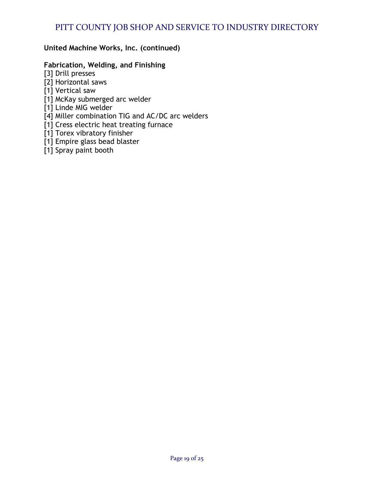## **United Machine Works, Inc. (continued)**

## **Fabrication, Welding, and Finishing**

- [3] Drill presses
- [2] Horizontal saws
- [1] Vertical saw
- [1] McKay submerged arc welder
- [1] Linde MIG welder
- [4] Miller combination TIG and AC/DC arc welders
- [1] Cress electric heat treating furnace
- [1] Torex vibratory finisher
- [1] Empire glass bead blaster
- [1] Spray paint booth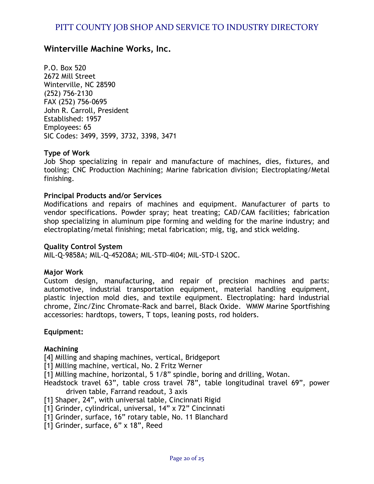## **Winterville Machine Works, Inc.**

P.O. Box 520 2672 Mill Street Winterville, NC 28590 (252) 756-2130 FAX (252) 756-0695 John R. Carroll, President Established: 1957 Employees: 65 SIC Codes: 3499, 3599, 3732, 3398, 3471

## **Type of Work**

Job Shop specializing in repair and manufacture of machines, dies, fixtures, and tooling; CNC Production Machining; Marine fabrication division; Electroplating/Metal finishing.

## **Principal Products and/or Services**

Modifications and repairs of machines and equipment. Manufacturer of parts to vendor specifications. Powder spray; heat treating; CAD/CAM facilities; fabrication shop specializing in aluminum pipe forming and welding for the marine industry; and electroplating/metal finishing; metal fabrication; mig, tig, and stick welding.

#### **Quality Control System**

MIL-Q-9858A; MlL-Q-452O8A; MIL-STD-4l04; MIL-STD-l S2OC.

#### **Major Work**

Custom design, manufacturing, and repair of precision machines and parts: automotive, industrial transportation equipment, material handling equipment, plastic injection mold dies, and textile equipment. Electroplating: hard industrial chrome, Zinc/Zinc Chromate-Rack and barrel, Black Oxide. WMW Marine Sportfishing accessories: hardtops, towers, T tops, leaning posts, rod holders.

#### **Equipment:**

#### **Machining**

[4] Milling and shaping machines, vertical, Bridgeport

[1] Milling machine, vertical, No. 2 Fritz Werner

- [1] Milling machine, horizontal, 5 1/8" spindle, boring and drilling, Wotan.
- Headstock travel 63", table cross travel 78", table longitudinal travel 69", power driven table, Farrand readout, 3 axis

[1] Shaper, 24", with universal table, Cincinnati Rigid

- [1] Grinder, cylindrical, universal, 14" x 72" Cincinnati
- [1] Grinder, surface, 16" rotary table, No. 11 Blanchard
- [1] Grinder, surface, 6" x 18", Reed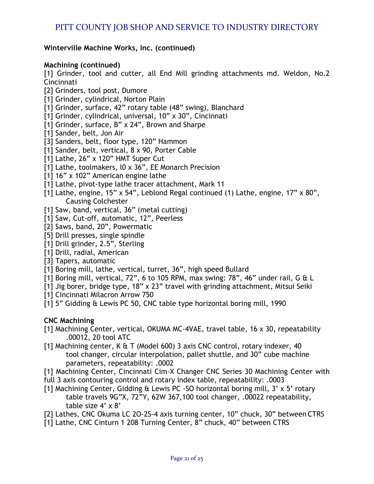## **Winterville Machine Works, Inc. (continued)**

## **Machining (continued)**

[1] Grinder, tool and cutter, all End Mill grinding attachments md. Weldon, No.2 Cincinnati

- [2] Grinders, tool post, Dumore
- [1] Grinder, cylindrical, Norton Plain
- [1] Grinder, surface, 42" rotary table (48" swing), Blanchard
- [1] Grinder, cylindrical, universal, 10" x 30", Cincinnati
- [1] Grinder, surface, B" x 24", Brown and Sharpe
- [1] Sander, belt, Jon Air
- [3] Sanders, belt, floor type, 120" Hammon
- [1] Sander, belt, vertical, 8 x 90, Porter Cable
- [1] Lathe, 26" x 120" HMT Super Cut
- [1] Lathe, toolmakers, l0 x 36", EE Monarch Precision
- [1] 16" x 102" American engine lathe
- [1] Lathe, pivot-type lathe tracer attachment, Mark 11
- [1] Lathe, engine, 15" x 54", Leblond Regal continued (1) Lathe, engine, 17" x 80", Causing Colchester
- [1] Saw, band, vertical, 36" (metal cutting)
- [1] Saw, Cut-off, automatic, 12", Peerless
- [2] Saws, band, 20", Powermatic
- [5] Drill presses, single spindle
- [1] Drill grinder, 2.5", Sterling
- [1] Drill, radial, American
- [3] Tapers, automatic
- [1] Boring mill, lathe, vertical, turret, 36", high speed Bullard
- [1] Boring mill, vertical, 72", 6 to 105 RPM, max swing: 78", 46" under rail, G & L
- [1] Jig borer, bridge type, 18" x 23" travel with grinding attachment, Mitsui Seiki
- [1] Cincinnati Milacron Arrow 750
- [1] 5" Gidding & Lewis PC 50, CNC table type horizontal boring mill, 1990

## **CNC Machining**

- [1] Machining Center, vertical, OKUMA MC-4VAE, travel table, 16 x 30, repeatability .00012, 20 tool ATC
- [1] Machining center, K & T (Model 600) 3 axis CNC control, rotary indexer, 40 tool changer, circular interpolation, pallet shuttle, and 30" cube machine parameters, repeatability: .0002
- [1] Machining Center, Cincinnati Cim-X Changer CNC Series 30 Machining Center with
- full 3 axis contouring control and rotary index table, repeatability: .0003
- [1] Machining Center, Gidding & Lewis PC -SO horizontal boring mill, 3' x 5' rotary table travels 9G"X, 72"Y, 62W 367,100 tool changer, .00022 repeatability, table size 4' x 8'
- [2] Lathes, CNC Okuma LC 2O-2S-4 axis turning center, 10" chuck, 30" between CTRS
- [1] Lathe, CNC Cinturn 1 208 Turning Center, 8" chuck, 40" between CTRS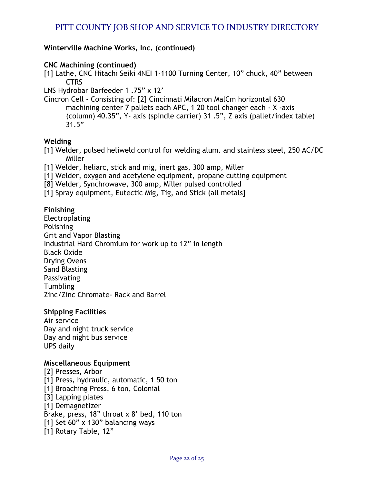## **Winterville Machine Works, Inc. (continued)**

## **CNC Machining (continued)**

[1] Lathe, CNC Hitachi Seiki 4NEI 1-1100 Turning Center, 10" chuck, 40" between CTRS

LNS Hydrobar Barfeeder 1 .75" x 12'

Cincron Cell - Consisting of: [2] Cincinnati Milacron MalCm horizontal 630 machining center 7 pallets each APC, 1 20 tool changer each - X -axis (column) 40.35", Y- axis (spindle carrier) 31 .5", Z axis (pallet/index table) 31.5"

## **Welding**

[1] Welder, pulsed heliweld control for welding alum. and stainless steel, 250 AC/DC Miller

- [1] Welder, heliarc, stick and mig, inert gas, 300 amp, Miller
- [1] Welder, oxygen and acetylene equipment, propane cutting equipment
- [8] Welder, Synchrowave, 300 amp, Miller pulsed controlled
- [1] Spray equipment, Eutectic Mig, Tig, and Stick (all metals]

## **Finishing**

Electroplating Polishing Grit and Vapor Blasting Industrial Hard Chromium for work up to 12" in length Black Oxide Drying Ovens Sand Blasting Passivating **Tumbling** Zinc/Zinc Chromate- Rack and Barrel

## **Shipping Facilities**

Air service Day and night truck service Day and night bus service UPS daily

## **Miscellaneous Equipment**

[2] Presses, Arbor [1] Press, hydraulic, automatic, 1 50 ton [1] Broaching Press, 6 ton, Colonial [3] Lapping plates [1] Demagnetizer Brake, press, 18" throat x 8' bed, 110 ton [1] Set 60" x 130" balancing ways [1] Rotary Table, 12"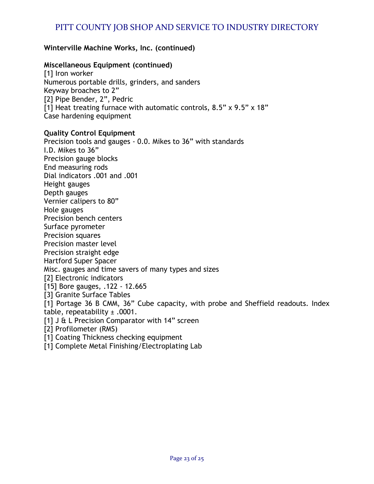## **Winterville Machine Works, Inc. (continued)**

## **Miscellaneous Equipment (continued)**

[1] Iron worker Numerous portable drills, grinders, and sanders Keyway broaches to 2" [2] Pipe Bender, 2", Pedric [1] Heat treating furnace with automatic controls, 8.5" x 9.5" x 18" Case hardening equipment

## **Quality Control Equipment**

Precision tools and gauges - 0.0. Mikes to 36" with standards I.D. Mikes to 36" Precision gauge blocks End measuring rods Dial indicators .001 and .001 Height gauges Depth gauges Vernier calipers to 80" Hole gauges Precision bench centers Surface pyrometer Precision squares Precision master level Precision straight edge Hartford Super Spacer Misc. gauges and time savers of many types and sizes [2] Electronic indicators [15] Bore gauges, .122 - 12.665 [3] Granite Surface Tables [1] Portage 36 B CMM, 36" Cube capacity, with probe and Sheffield readouts. Index table, repeatability  $\pm$  .0001. [1] J & L Precision Comparator with 14" screen [2] Profilometer (RMS) [1] Coating Thickness checking equipment

[1] Complete Metal Finishing/Electroplating Lab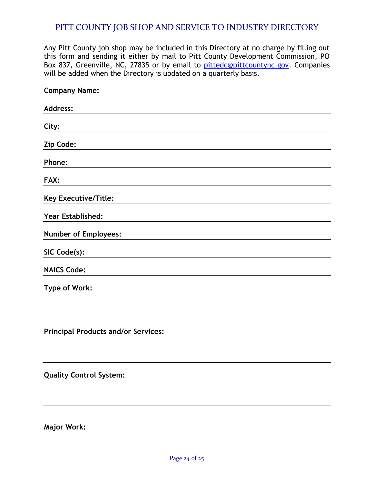Any Pitt County job shop may be included in this Directory at no charge by filling out this form and sending it either by mail to Pitt County Development Commission, PO Box 837, Greenville, NC, 27835 or by email to [pittedc@pittcountync.gov.](mailto:pittedc@pittcountync.gov) Companies will be added when the Directory is updated on a quarterly basis.

| <b>Company Name:</b>        |  |
|-----------------------------|--|
| <b>Address:</b>             |  |
| City:                       |  |
| Zip Code:                   |  |
| Phone:                      |  |
| FAX:                        |  |
| <b>Key Executive/Title:</b> |  |
| Year Established:           |  |
| <b>Number of Employees:</b> |  |
| SIC Code(s):                |  |
| <b>NAICS Code:</b>          |  |
| <b>Type of Work:</b>        |  |
|                             |  |
|                             |  |

**Principal Products and/or Services:** 

**Quality Control System:** 

**Major Work:**